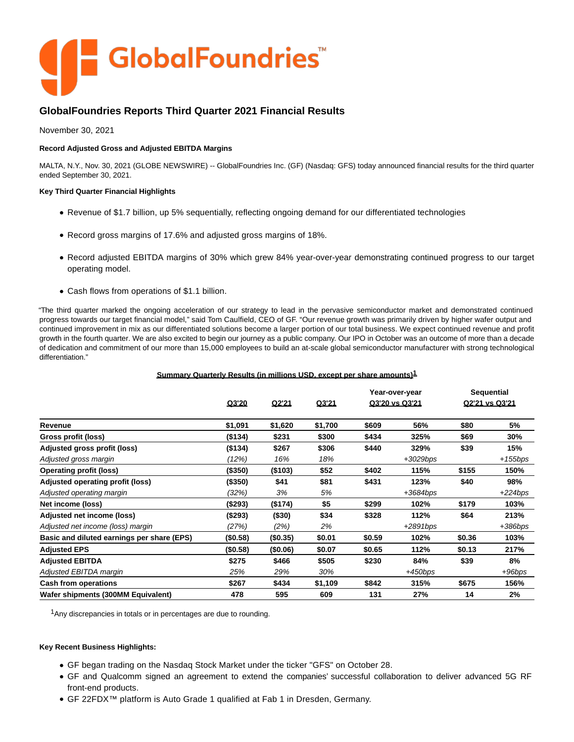

# **GlobalFoundries Reports Third Quarter 2021 Financial Results**

November 30, 2021

# **Record Adjusted Gross and Adjusted EBITDA Margins**

MALTA, N.Y., Nov. 30, 2021 (GLOBE NEWSWIRE) -- GlobalFoundries Inc. (GF) (Nasdaq: GFS) today announced financial results for the third quarter ended September 30, 2021.

# **Key Third Quarter Financial Highlights**

- Revenue of \$1.7 billion, up 5% sequentially, reflecting ongoing demand for our differentiated technologies
- Record gross margins of 17.6% and adjusted gross margins of 18%.
- Record adjusted EBITDA margins of 30% which grew 84% year-over-year demonstrating continued progress to our target operating model.
- Cash flows from operations of \$1.1 billion.

"The third quarter marked the ongoing acceleration of our strategy to lead in the pervasive semiconductor market and demonstrated continued progress towards our target financial model," said Tom Caulfield, CEO of GF. "Our revenue growth was primarily driven by higher wafer output and continued improvement in mix as our differentiated solutions become a larger portion of our total business. We expect continued revenue and profit growth in the fourth quarter. We are also excited to begin our journey as a public company. Our IPO in October was an outcome of more than a decade of dedication and commitment of our more than 15,000 employees to build an at-scale global semiconductor manufacturer with strong technological differentiation."

# **Summary Quarterly Results (in millions USD, except per share amounts)1**

|                                            |          |          |         |        | Year-over-year |        | <b>Sequential</b> |
|--------------------------------------------|----------|----------|---------|--------|----------------|--------|-------------------|
|                                            | Q3'20    | Q2'21    | Q3'21   |        | Q3'20 vs Q3'21 |        | Q2'21 vs Q3'21    |
| Revenue                                    | \$1,091  | \$1,620  | \$1,700 | \$609  | 56%            | \$80   | 5%                |
| Gross profit (loss)                        | (\$134)  | \$231    | \$300   | \$434  | 325%           | \$69   | 30%               |
| Adjusted gross profit (loss)               | (\$134)  | \$267    | \$306   | \$440  | 329%           | \$39   | 15%               |
| Adjusted gross margin                      | (12%)    | 16%      | 18%     |        | $+3029bps$     |        | +155bps           |
| <b>Operating profit (loss)</b>             | (\$350)  | (\$103)  | \$52    | \$402  | 115%           | \$155  | 150%              |
| Adjusted operating profit (loss)           | (\$350)  | \$41     | \$81    | \$431  | 123%           | \$40   | 98%               |
| Adjusted operating margin                  | (32%)    | 3%       | 5%      |        | $+3684bps$     |        | $+224bps$         |
| Net income (loss)                          | (\$293)  | (\$174)  | \$5     | \$299  | 102%           | \$179  | 103%              |
| Adjusted net income (loss)                 | (\$293)  | ( \$30)  | \$34    | \$328  | 112%           | \$64   | 213%              |
| Adjusted net income (loss) margin          | (27%)    | (2%)     | 2%      |        | $+2891bps$     |        | +386bps           |
| Basic and diluted earnings per share (EPS) | (\$0.58) | (\$0.35) | \$0.01  | \$0.59 | 102%           | \$0.36 | 103%              |
| <b>Adjusted EPS</b>                        | (\$0.58) | (\$0.06) | \$0.07  | \$0.65 | 112%           | \$0.13 | 217%              |
| <b>Adjusted EBITDA</b>                     | \$275    | \$466    | \$505   | \$230  | 84%            | \$39   | 8%                |
| Adjusted EBITDA margin                     | 25%      | 29%      | 30%     |        | $+450bps$      |        | $+96bps$          |
| Cash from operations                       | \$267    | \$434    | \$1,109 | \$842  | 315%           | \$675  | 156%              |
| Wafer shipments (300MM Equivalent)         | 478      | 595      | 609     | 131    | 27%            | 14     | 2%                |

<sup>1</sup> Any discrepancies in totals or in percentages are due to rounding.

## **Key Recent Business Highlights:**

- GF began trading on the Nasdaq Stock Market under the ticker "GFS" on October 28.
- GF and Qualcomm signed an agreement to extend the companies' successful collaboration to deliver advanced 5G RF front-end products.
- GF 22FDX™ platform is Auto Grade 1 qualified at Fab 1 in Dresden, Germany.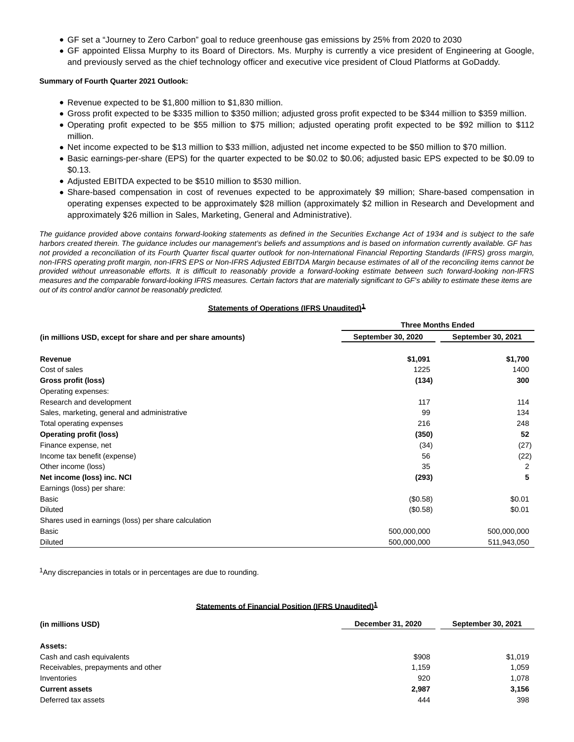- GF set a "Journey to Zero Carbon" goal to reduce greenhouse gas emissions by 25% from 2020 to 2030
- GF appointed Elissa Murphy to its Board of Directors. Ms. Murphy is currently a vice president of Engineering at Google, and previously served as the chief technology officer and executive vice president of Cloud Platforms at GoDaddy.

## **Summary of Fourth Quarter 2021 Outlook:**

- Revenue expected to be \$1,800 million to \$1,830 million.
- Gross profit expected to be \$335 million to \$350 million; adjusted gross profit expected to be \$344 million to \$359 million.
- Operating profit expected to be \$55 million to \$75 million; adjusted operating profit expected to be \$92 million to \$112 million.
- Net income expected to be \$13 million to \$33 million, adjusted net income expected to be \$50 million to \$70 million.
- Basic earnings-per-share (EPS) for the quarter expected to be \$0.02 to \$0.06; adjusted basic EPS expected to be \$0.09 to \$0.13.
- Adjusted EBITDA expected to be \$510 million to \$530 million.
- Share-based compensation in cost of revenues expected to be approximately \$9 million; Share-based compensation in operating expenses expected to be approximately \$28 million (approximately \$2 million in Research and Development and approximately \$26 million in Sales, Marketing, General and Administrative).

The guidance provided above contains forward-looking statements as defined in the Securities Exchange Act of 1934 and is subject to the safe harbors created therein. The guidance includes our management's beliefs and assumptions and is based on information currently available. GF has not provided a reconciliation of its Fourth Quarter fiscal quarter outlook for non-International Financial Reporting Standards (IFRS) gross margin, non-IFRS operating profit margin, non-IFRS EPS or Non-IFRS Adjusted EBITDA Margin because estimates of all of the reconciling items cannot be provided without unreasonable efforts. It is difficult to reasonably provide a forward-looking estimate between such forward-looking non-IFRS measures and the comparable forward-looking IFRS measures. Certain factors that are materially significant to GF's ability to estimate these items are out of its control and/or cannot be reasonably predicted.

# **Statements of Operations (IFRS Unaudited)1**

|                                                           | <b>Three Months Ended</b> |                    |  |  |
|-----------------------------------------------------------|---------------------------|--------------------|--|--|
| (in millions USD, except for share and per share amounts) | September 30, 2020        | September 30, 2021 |  |  |
| Revenue                                                   | \$1,091                   | \$1,700            |  |  |
| Cost of sales                                             | 1225                      | 1400               |  |  |
| Gross profit (loss)                                       | (134)                     | 300                |  |  |
| Operating expenses:                                       |                           |                    |  |  |
| Research and development                                  | 117                       | 114                |  |  |
| Sales, marketing, general and administrative              | 99                        | 134                |  |  |
| Total operating expenses                                  | 216                       | 248                |  |  |
| <b>Operating profit (loss)</b>                            | (350)                     | 52                 |  |  |
| Finance expense, net                                      | (34)                      | (27)               |  |  |
| Income tax benefit (expense)                              | 56                        | (22)               |  |  |
| Other income (loss)                                       | 35                        | 2                  |  |  |
| Net income (loss) inc. NCI                                | (293)                     | 5                  |  |  |
| Earnings (loss) per share:                                |                           |                    |  |  |
| Basic                                                     | (\$0.58)                  | \$0.01             |  |  |
| <b>Diluted</b>                                            | (\$0.58)                  | \$0.01             |  |  |
| Shares used in earnings (loss) per share calculation      |                           |                    |  |  |
| Basic                                                     | 500,000,000               | 500,000,000        |  |  |
| <b>Diluted</b>                                            | 500,000,000               | 511,943,050        |  |  |

 $1$ Any discrepancies in totals or in percentages are due to rounding.

## **Statements of Financial Position (IFRS Unaudited)1**

| (in millions USD)                  | December 31, 2020 | September 30, 2021 |  |
|------------------------------------|-------------------|--------------------|--|
| Assets:                            |                   |                    |  |
| Cash and cash equivalents          | \$908             | \$1,019            |  |
| Receivables, prepayments and other | 1,159             | 1.059              |  |
| Inventories                        | 920               | 1,078              |  |
| <b>Current assets</b>              | 2,987             | 3,156              |  |
| Deferred tax assets                | 444               | 398                |  |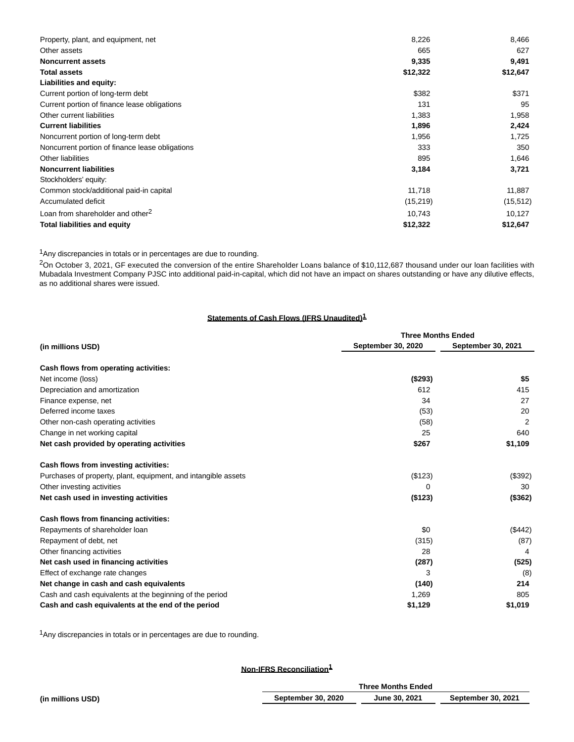| Property, plant, and equipment, net             | 8,226     | 8,466     |
|-------------------------------------------------|-----------|-----------|
| Other assets                                    | 665       | 627       |
| <b>Noncurrent assets</b>                        | 9,335     | 9,491     |
| <b>Total assets</b>                             | \$12,322  | \$12,647  |
| Liabilities and equity:                         |           |           |
| Current portion of long-term debt               | \$382     | \$371     |
| Current portion of finance lease obligations    | 131       | 95        |
| Other current liabilities                       | 1,383     | 1,958     |
| <b>Current liabilities</b>                      | 1,896     | 2,424     |
| Noncurrent portion of long-term debt            | 1,956     | 1,725     |
| Noncurrent portion of finance lease obligations | 333       | 350       |
| Other liabilities                               | 895       | 1,646     |
| <b>Noncurrent liabilities</b>                   | 3,184     | 3,721     |
| Stockholders' equity:                           |           |           |
| Common stock/additional paid-in capital         | 11,718    | 11,887    |
| Accumulated deficit                             | (15, 219) | (15, 512) |
| Loan from shareholder and other <sup>2</sup>    | 10,743    | 10,127    |
| <b>Total liabilities and equity</b>             | \$12,322  | \$12,647  |

<sup>1</sup>Any discrepancies in totals or in percentages are due to rounding.

<sup>2</sup>On October 3, 2021, GF executed the conversion of the entire Shareholder Loans balance of \$10,112,687 thousand under our loan facilities with Mubadala Investment Company PJSC into additional paid-in-capital, which did not have an impact on shares outstanding or have any dilutive effects, as no additional shares were issued.

# **Statements of Cash Flows (IFRS Unaudited) 1**

|                                                                | <b>Three Months Ended</b> |                    |  |
|----------------------------------------------------------------|---------------------------|--------------------|--|
| (in millions USD)                                              | <b>September 30, 2020</b> | September 30, 2021 |  |
| Cash flows from operating activities:                          |                           |                    |  |
| Net income (loss)                                              | (\$293)                   | \$5                |  |
| Depreciation and amortization                                  | 612                       | 415                |  |
| Finance expense, net                                           | 34                        | 27                 |  |
| Deferred income taxes                                          | (53)                      | 20                 |  |
| Other non-cash operating activities                            | (58)                      | 2                  |  |
| Change in net working capital                                  | 25                        | 640                |  |
| Net cash provided by operating activities                      | \$267                     | \$1,109            |  |
| Cash flows from investing activities:                          |                           |                    |  |
| Purchases of property, plant, equipment, and intangible assets | (\$123)                   | (\$392)            |  |
| Other investing activities                                     | 0                         | 30                 |  |
| Net cash used in investing activities                          | (\$123)                   | (\$362)            |  |
| Cash flows from financing activities:                          |                           |                    |  |
| Repayments of shareholder loan                                 | \$0                       | (\$442)            |  |
| Repayment of debt, net                                         | (315)                     | (87)               |  |
| Other financing activities                                     | 28                        | 4                  |  |
| Net cash used in financing activities                          | (287)                     | (525)              |  |
| Effect of exchange rate changes                                | 3                         | (8)                |  |
| Net change in cash and cash equivalents                        | (140)                     | 214                |  |
| Cash and cash equivalents at the beginning of the period       | 1.269                     | 805                |  |
| Cash and cash equivalents at the end of the period             | \$1,129                   | \$1,019            |  |

1Any discrepancies in totals or in percentages are due to rounding.

# **Non-IFRS Reconciliation1**

|                   | <b>Three Months Ended</b> |               |                           |
|-------------------|---------------------------|---------------|---------------------------|
| (in millions USD) | <b>September 30, 2020</b> | June 30, 2021 | <b>September 30, 2021</b> |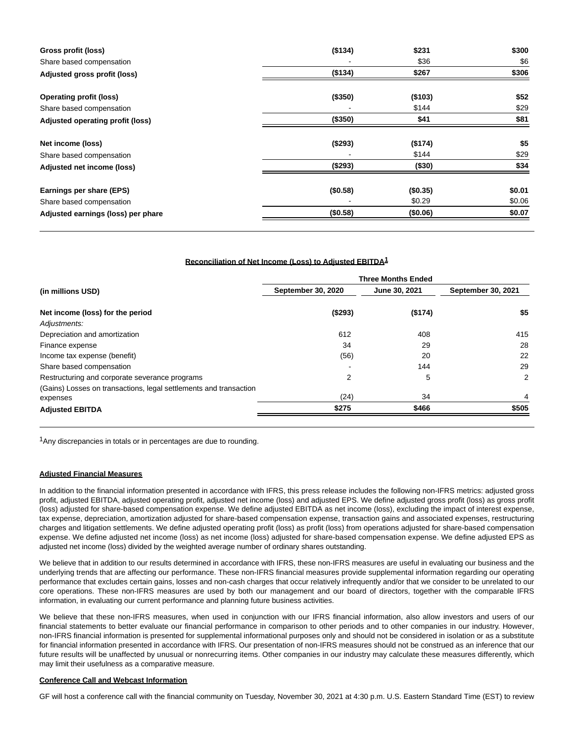| Gross profit (loss)                | (\$134)  | \$231    | \$300  |
|------------------------------------|----------|----------|--------|
| Share based compensation           |          | \$36     | \$6    |
| Adjusted gross profit (loss)       | (\$134)  | \$267    | \$306  |
| <b>Operating profit (loss)</b>     | (\$350)  | (\$103)  | \$52   |
| Share based compensation           |          | \$144    | \$29   |
| Adjusted operating profit (loss)   | (\$350)  | \$41     | \$81   |
| Net income (loss)                  | (\$293)  | (\$174)  | \$5    |
| Share based compensation           |          | \$144    | \$29   |
| Adjusted net income (loss)         | (\$293)  | (\$30)   | \$34   |
| Earnings per share (EPS)           | (\$0.58) | (\$0.35) | \$0.01 |
| Share based compensation           |          | \$0.29   | \$0.06 |
| Adjusted earnings (loss) per phare | (\$0.58) | (\$0.06) | \$0.07 |

#### **Reconciliation of Net Income (Loss) to Adjusted EBITDA1**

|                                                                               | <b>Three Months Ended</b> |               |                    |  |
|-------------------------------------------------------------------------------|---------------------------|---------------|--------------------|--|
| (in millions USD)                                                             | <b>September 30, 2020</b> | June 30, 2021 | September 30, 2021 |  |
| Net income (loss) for the period                                              | ( \$293)                  | (\$174)       | \$5                |  |
| Adjustments:                                                                  |                           |               |                    |  |
| Depreciation and amortization                                                 | 612                       | 408           | 415                |  |
| Finance expense                                                               | 34                        | 29            | 28                 |  |
| Income tax expense (benefit)                                                  | (56)                      | 20            | 22                 |  |
| Share based compensation                                                      |                           | 144           | 29                 |  |
| Restructuring and corporate severance programs                                | 2                         | 5             | $\overline{2}$     |  |
| (Gains) Losses on transactions, legal settlements and transaction<br>expenses | (24)                      | 34            | 4                  |  |
| <b>Adjusted EBITDA</b>                                                        | \$275                     | \$466         | \$505              |  |

<sup>1</sup> Any discrepancies in totals or in percentages are due to rounding.

#### **Adjusted Financial Measures**

In addition to the financial information presented in accordance with IFRS, this press release includes the following non-IFRS metrics: adjusted gross profit, adjusted EBITDA, adjusted operating profit, adjusted net income (loss) and adjusted EPS. We define adjusted gross profit (loss) as gross profit (loss) adjusted for share-based compensation expense. We define adjusted EBITDA as net income (loss), excluding the impact of interest expense, tax expense, depreciation, amortization adjusted for share-based compensation expense, transaction gains and associated expenses, restructuring charges and litigation settlements. We define adjusted operating profit (loss) as profit (loss) from operations adjusted for share-based compensation expense. We define adjusted net income (loss) as net income (loss) adjusted for share-based compensation expense. We define adjusted EPS as adjusted net income (loss) divided by the weighted average number of ordinary shares outstanding.

We believe that in addition to our results determined in accordance with IFRS, these non-IFRS measures are useful in evaluating our business and the underlying trends that are affecting our performance. These non-IFRS financial measures provide supplemental information regarding our operating performance that excludes certain gains, losses and non-cash charges that occur relatively infrequently and/or that we consider to be unrelated to our core operations. These non-IFRS measures are used by both our management and our board of directors, together with the comparable IFRS information, in evaluating our current performance and planning future business activities.

We believe that these non-IFRS measures, when used in conjunction with our IFRS financial information, also allow investors and users of our financial statements to better evaluate our financial performance in comparison to other periods and to other companies in our industry. However, non-IFRS financial information is presented for supplemental informational purposes only and should not be considered in isolation or as a substitute for financial information presented in accordance with IFRS. Our presentation of non-IFRS measures should not be construed as an inference that our future results will be unaffected by unusual or nonrecurring items. Other companies in our industry may calculate these measures differently, which may limit their usefulness as a comparative measure.

#### **Conference Call and Webcast Information**

GF will host a conference call with the financial community on Tuesday, November 30, 2021 at 4:30 p.m. U.S. Eastern Standard Time (EST) to review